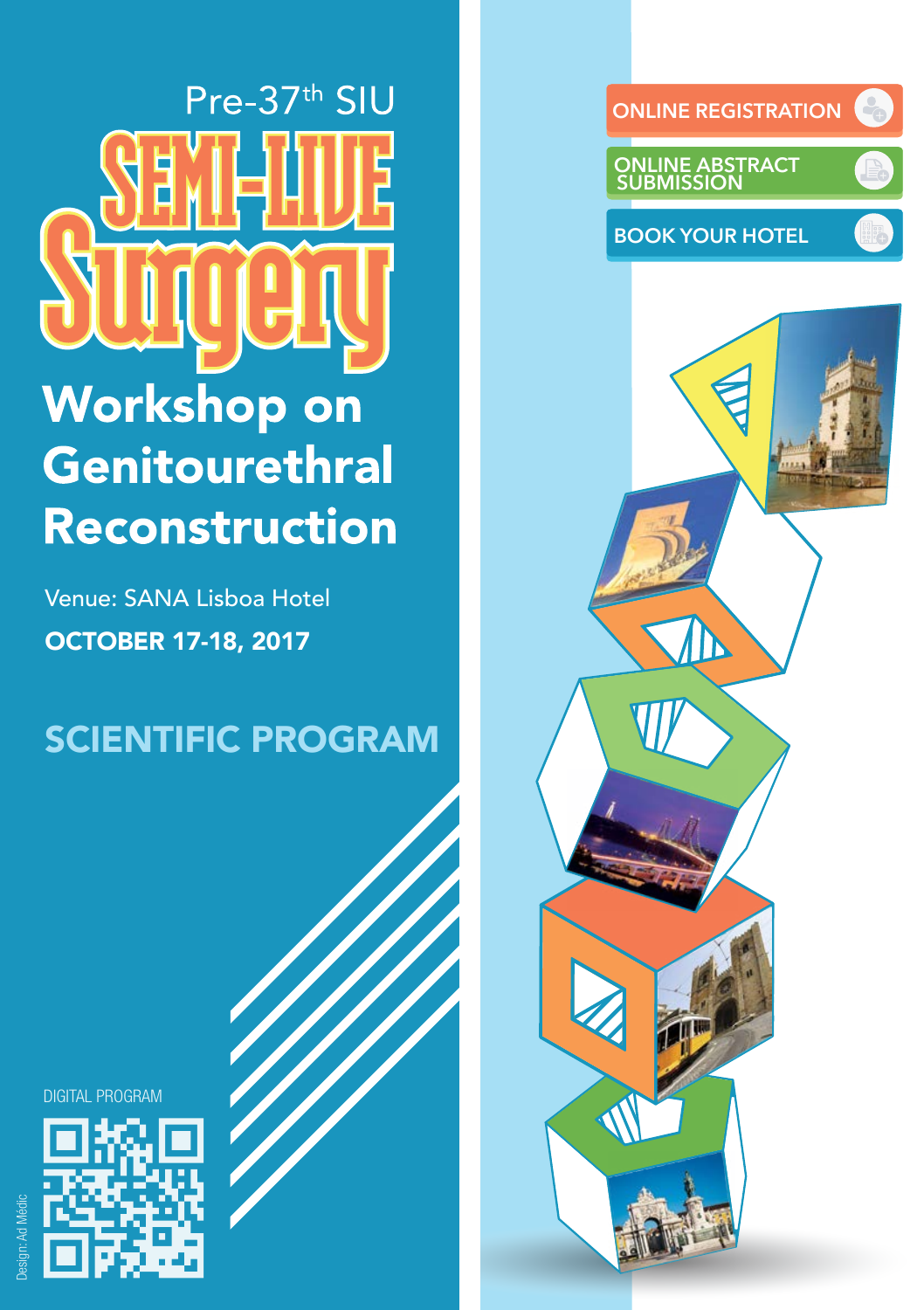Pre-37th SIU **Workshop on** Genitourethral Reconstruction

OCTOBER 17-18, 2017 Venue: SANA Lisboa Hotel

SCIENTIFIC PROGRAM

DIGITAL PROGRAM



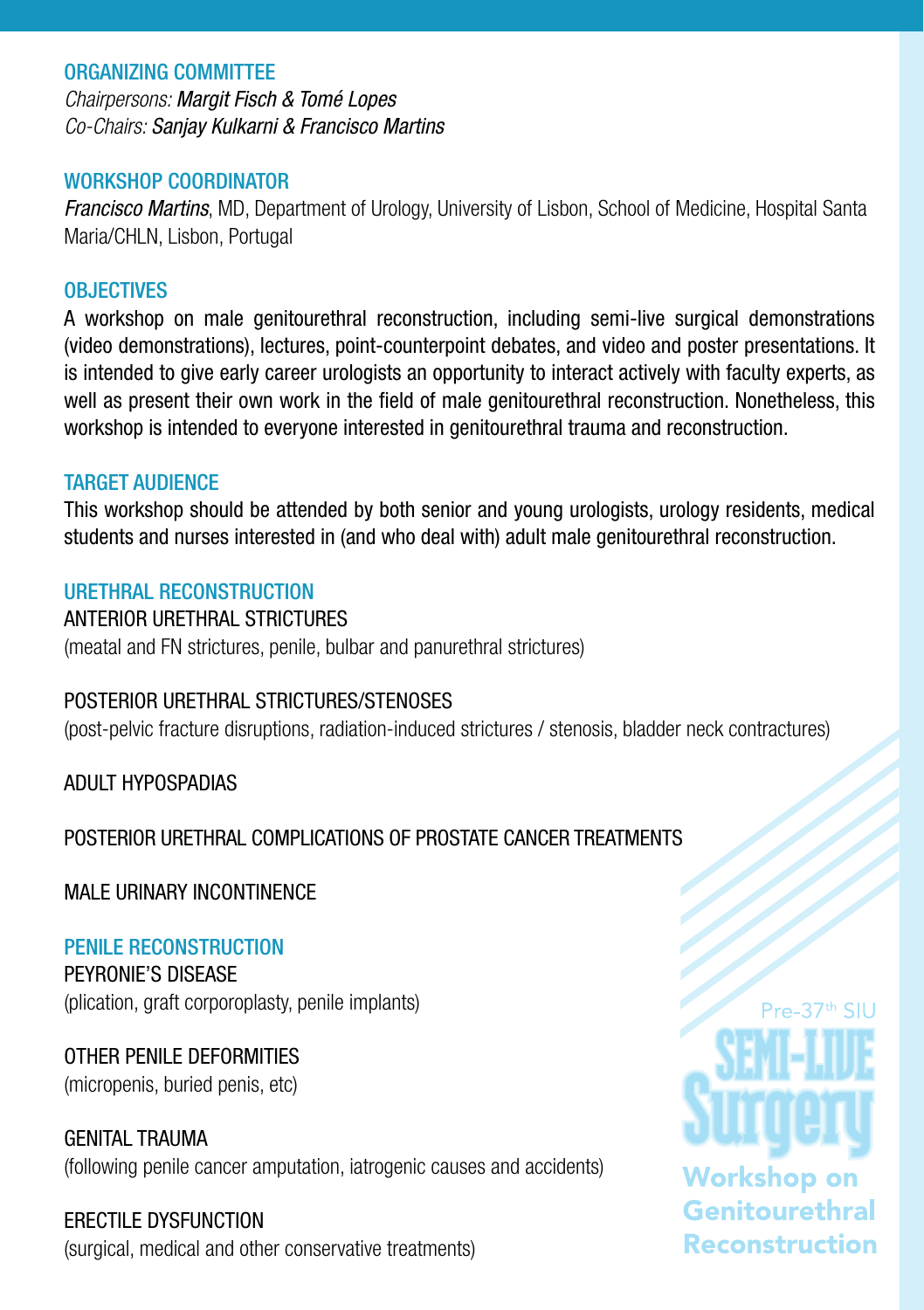### ORGANIZING COMMITTEE

*Chairpersons: Margit Fisch & Tomé Lopes Co-Chairs: Sanjay Kulkarni & Francisco Martins*

### WORKSHOP COORDINATOR

*Francisco Martins*, MD, Department of Urology, University of Lisbon, School of Medicine, Hospital Santa Maria/CHLN, Lisbon, Portugal

### **OBJECTIVES**

A workshop on male genitourethral reconstruction, including semi-live surgical demonstrations (video demonstrations), lectures, point-counterpoint debates, and video and poster presentations. It is intended to give early career urologists an opportunity to interact actively with faculty experts, as well as present their own work in the field of male genitourethral reconstruction. Nonetheless, this workshop is intended to everyone interested in genitourethral trauma and reconstruction.

### TARGET AUDIENCE

This workshop should be attended by both senior and young urologists, urology residents, medical students and nurses interested in (and who deal with) adult male genitourethral reconstruction.

### URETHRAL RECONSTRUCTION

ANTERIOR URETHRAL STRICTURES (meatal and FN strictures, penile, bulbar and panurethral strictures)

### POSTERIOR URETHRAL STRICTURES/STENOSES

(post-pelvic fracture disruptions, radiation-induced strictures / stenosis, bladder neck contractures)

ADULT HYPOSPADIAS

### POSTERIOR URETHRAL COMPLICATIONS OF PROSTATE CANCER TREATMENTS

MALE URINARY INCONTINENCE

PENILE RECONSTRUCTION PEYRONIE'S DISEASE (plication, graft corporoplasty, penile implants)

OTHER PENILE DEFORMITIES (micropenis, buried penis, etc)

GENITAL TRAUMA (following penile cancer amputation, iatrogenic causes and accidents)

### ERECTILE DYSFUNCTION

(surgical, medical and other conservative treatments)

# $Pre-37<sup>th</sup>$  SIU **Workshop on** Genitourethral **Reconstruction**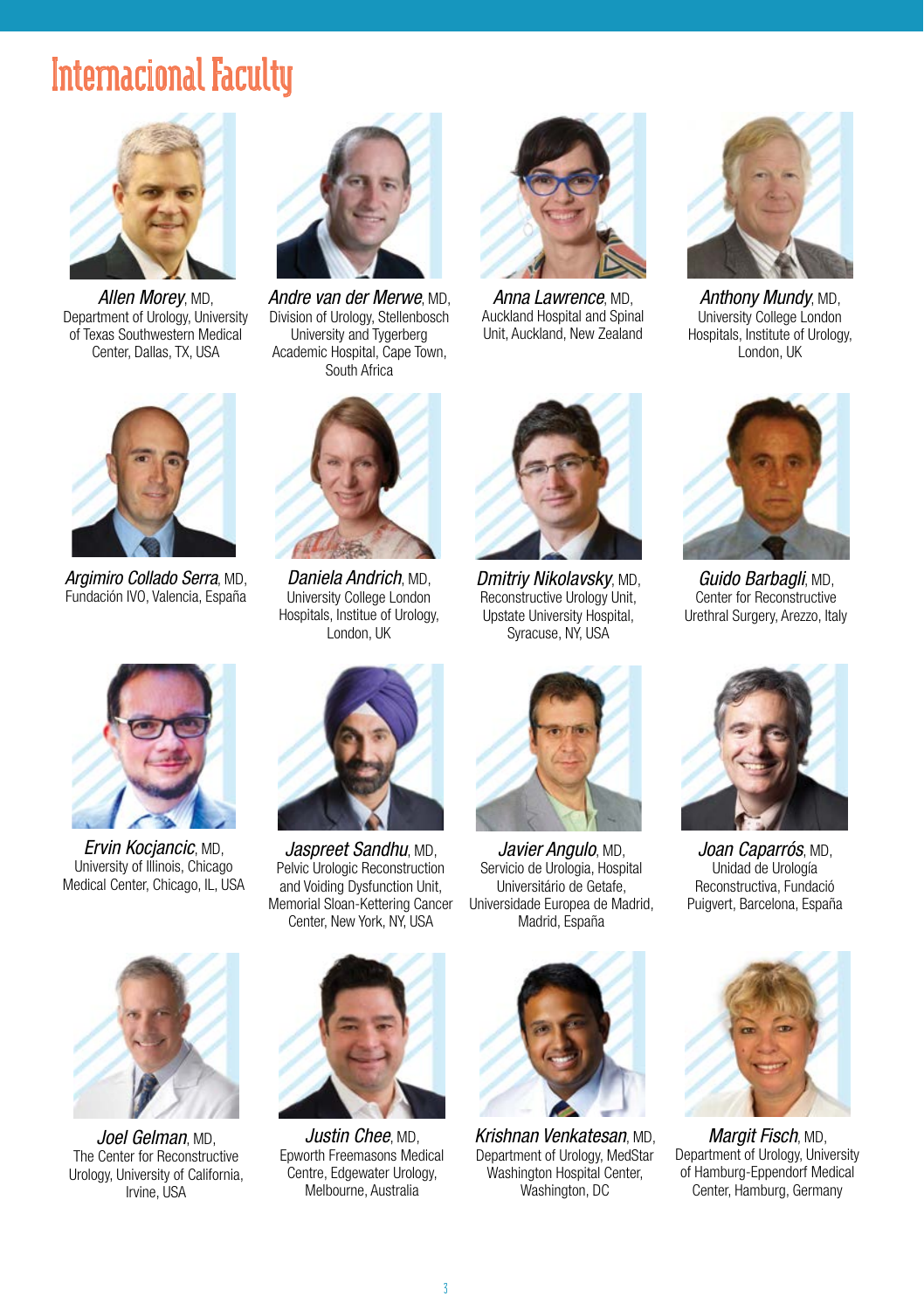### Internacional Faculty



*Allen Morey*, MD, Department of Urology, University of Texas Southwestern Medical Center, Dallas, TX, USA



*Andre van der Merwe*, MD, Division of Urology, Stellenbosch University and Tygerberg Academic Hospital, Cape Town, South Africa



*Anna Lawrence*, MD, Auckland Hospital and Spinal Unit, Auckland, New Zealand



*Anthony Mundy*, MD, University College London Hospitals, Institute of Urology, London, UK



*Argimiro Collado Serra*, MD, Fundación IVO, Valencia, España



*Daniela Andrich*, MD, University College London Hospitals, Institue of Urology, London, UK



*Ervin Kocjancic*, MD, University of Illinois, Chicago Medical Center, Chicago, IL, USA



*Jaspreet Sandhu*, MD, Pelvic Urologic Reconstruction and Voiding Dysfunction Unit, Memorial Sloan-Kettering Cancer Center, New York, NY, USA



*Justin Chee*, MD, Epworth Freemasons Medical Centre, Edgewater Urology, Melbourne, Australia



*Dmitriy Nikolavsky*, MD, Reconstructive Urology Unit, Upstate University Hospital, Syracuse, NY, USA



*Javier Angulo*, MD, Servicio de Urologia, Hospital Universitário de Getafe, Universidade Europea de Madrid, Madrid, España



*Krishnan Venkatesan*, MD, Department of Urology, MedStar Washington Hospital Center, Washington, DC



*Guido Barbagli*, MD, Center for Reconstructive Urethral Surgery, Arezzo, Italy



*Joan Caparrós*, MD, Unidad de Urología Reconstructiva, Fundació Puigvert, Barcelona, España



*Margit Fisch*, MD, Department of Urology, University of Hamburg-Eppendorf Medical Center, Hamburg, Germany



*Joel Gelman*, MD, The Center for Reconstructive Urology, University of California, Irvine, USA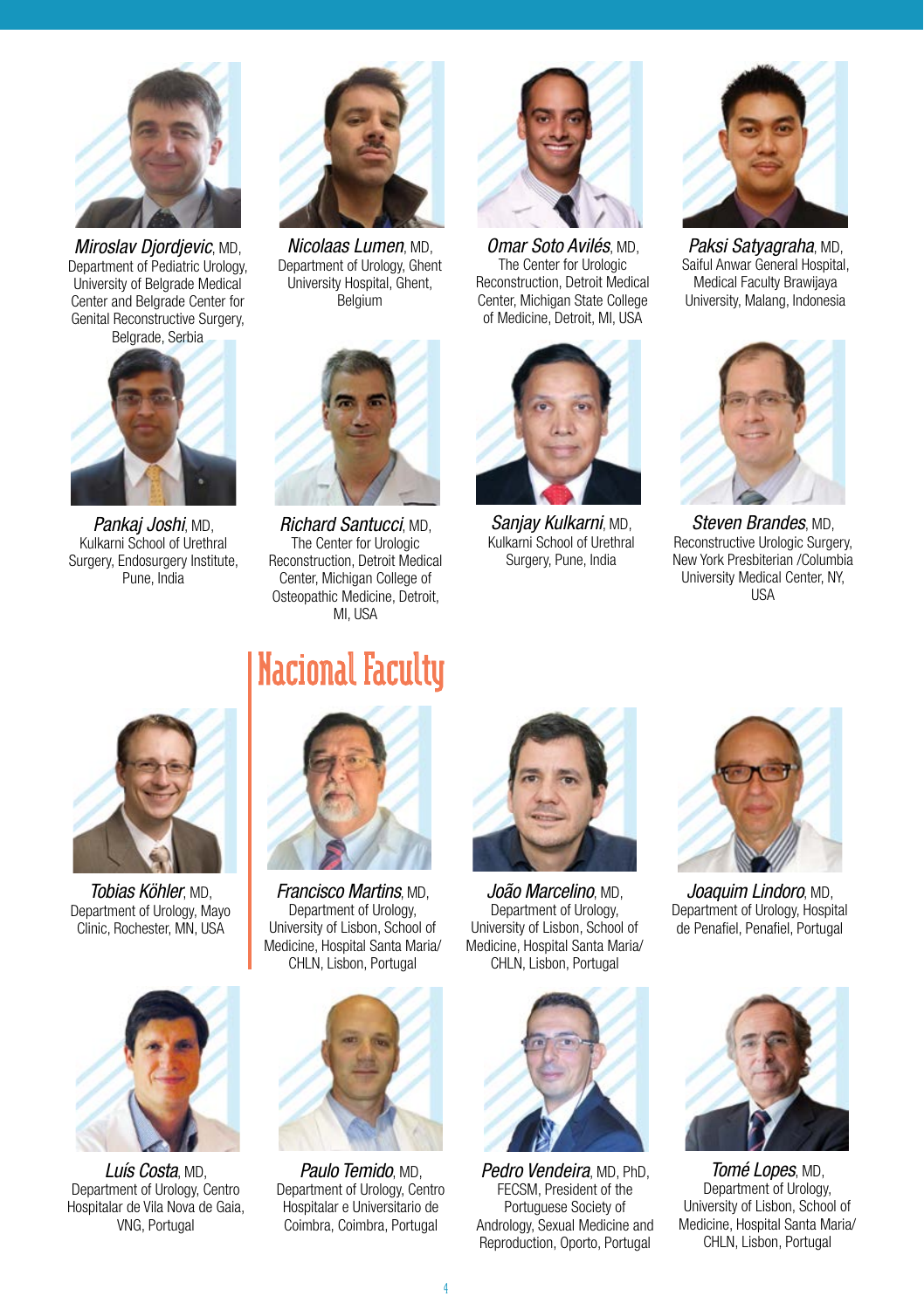

*Miroslav Djordjevic*, MD, Department of Pediatric Urology, University of Belgrade Medical Center and Belgrade Center for Genital Reconstructive Surgery, Belgrade, Serbia



*Pankaj Joshi*, MD, Kulkarni School of Urethral Surgery, Endosurgery Institute, Pune, India



*Nicolaas Lumen*, MD, Department of Urology, Ghent University Hospital, Ghent, Belgium



*Omar Soto Avilés*, MD, The Center for Urologic Reconstruction, Detroit Medical Center, Michigan State College of Medicine, Detroit, MI, USA



*Sanjay Kulkarni*, MD, Kulkarni School of Urethral Surgery, Pune, India



*Paksi Satyagraha*, MD, Saiful Anwar General Hospital, Medical Faculty Brawijaya University, Malang, Indonesia



*Steven Brandes*, MD, Reconstructive Urologic Surgery, New York Presbiterian /Columbia University Medical Center, NY, **I**ISA



*Tobias Köhler*, MD, Department of Urology, Mayo Clinic, Rochester, MN, USA



*Luís Costa*, MD, Department of Urology, Centro Hospitalar de Vila Nova de Gaia, VNG, Portugal

### Nacional Faculty

*Richard Santucci*, MD, The Center for Urologic Reconstruction, Detroit Medical Center, Michigan College of Osteopathic Medicine, Detroit, MI<sub>I</sub>ISA



*Francisco Martins*, MD, Department of Urology, University of Lisbon, School of Medicine, Hospital Santa Maria/ CHLN, Lisbon, Portugal



*Paulo Temido*, MD, Department of Urology, Centro Hospitalar e Universitario de Coimbra, Coimbra, Portugal



*João Marcelino*, MD, Department of Urology, University of Lisbon, School of Medicine, Hospital Santa Maria/ CHLN, Lisbon, Portugal



*Pedro Vendeira*, MD, PhD FECSM, President of the Portuguese Society of Andrology, Sexual Medicine and Reproduction, Oporto, Portugal



*Joaquim Lindoro*, MD, Department of Urology, Hospital de Penafiel, Penafiel, Portugal



*Tomé Lopes*, MD, Department of Urology, University of Lisbon, School of Medicine, Hospital Santa Maria/ CHLN, Lisbon, Portugal

4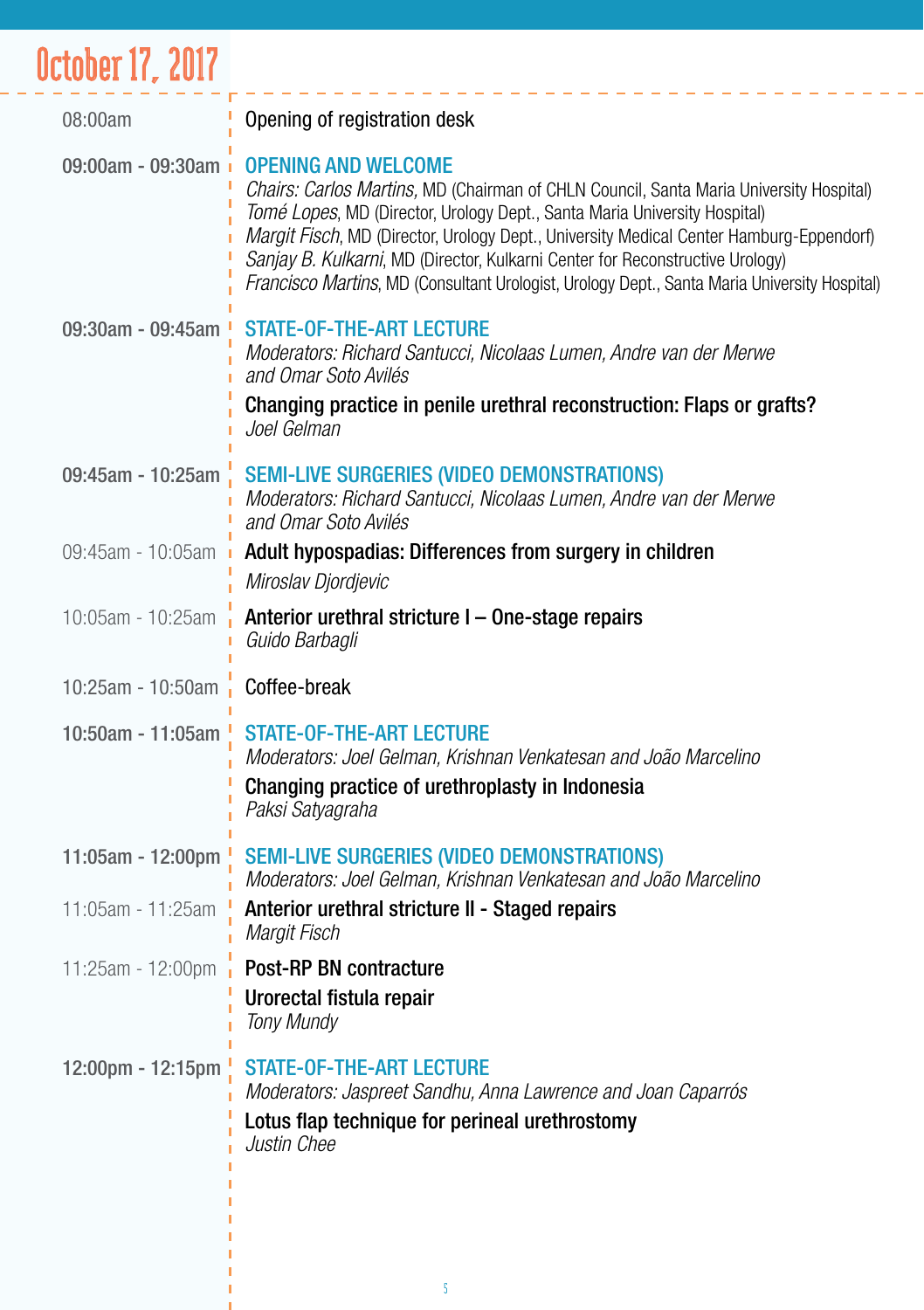## October 17, 2017

| 08:00am                        | Opening of registration desk                                                                                                                                                                                                                                                                                                                                                                                                                                                  |
|--------------------------------|-------------------------------------------------------------------------------------------------------------------------------------------------------------------------------------------------------------------------------------------------------------------------------------------------------------------------------------------------------------------------------------------------------------------------------------------------------------------------------|
| 09:00am - 09:30am              | <b>OPENING AND WELCOME</b><br>Chairs: Carlos Martins, MD (Chairman of CHLN Council, Santa Maria University Hospital)<br>Tomé Lopes, MD (Director, Urology Dept., Santa Maria University Hospital)<br>Margit Fisch, MD (Director, Urology Dept., University Medical Center Hamburg-Eppendorf)<br>Sanjay B. Kulkarni, MD (Director, Kulkarni Center for Reconstructive Urology)<br>Francisco Martins, MD (Consultant Urologist, Urology Dept., Santa Maria University Hospital) |
| 09:30am - 09:45am              | <b>STATE-OF-THE-ART LECTURE</b><br>Moderators: Richard Santucci, Nicolaas Lumen, Andre van der Merwe<br>and Omar Soto Avilés<br>Changing practice in penile urethral reconstruction: Flaps or grafts?<br>Joel Gelman                                                                                                                                                                                                                                                          |
| 09:45am - 10:25am              | <b>SEMI-LIVE SURGERIES (VIDEO DEMONSTRATIONS)</b><br>Moderators: Richard Santucci, Nicolaas Lumen, Andre van der Merwe<br>and Omar Soto Avilés                                                                                                                                                                                                                                                                                                                                |
| 09:45am - 10:05am              | Adult hypospadias: Differences from surgery in children<br>Miroslav Djordjevic                                                                                                                                                                                                                                                                                                                                                                                                |
| 10:05am - 10:25am              | Anterior urethral stricture I - One-stage repairs<br>Guido Barbagli                                                                                                                                                                                                                                                                                                                                                                                                           |
| 10:25am - 10:50am Coffee-break |                                                                                                                                                                                                                                                                                                                                                                                                                                                                               |
| 10:50am - 11:05am              | <b>STATE-OF-THE-ART LECTURE</b><br>Moderators: Joel Gelman, Krishnan Venkatesan and João Marcelino<br>Changing practice of urethroplasty in Indonesia<br>Paksi Satyagraha                                                                                                                                                                                                                                                                                                     |
| 11:05am - 12:00pm              | <b>SEMI-LIVE SURGERIES (VIDEO DEMONSTRATIONS)</b><br>Moderators: Joel Gelman, Krishnan Venkatesan and João Marcelino                                                                                                                                                                                                                                                                                                                                                          |
| 11:05am - 11:25am              | Anterior urethral stricture II - Staged repairs<br>Margit Fisch                                                                                                                                                                                                                                                                                                                                                                                                               |
| 11:25am - 12:00pm              | Post-RP BN contracture<br>Urorectal fistula repair<br><b>Tony Mundy</b>                                                                                                                                                                                                                                                                                                                                                                                                       |
| 12:00pm - 12:15pm              | <b>STATE-OF-THE-ART LECTURE</b><br>Moderators: Jaspreet Sandhu, Anna Lawrence and Joan Caparrós<br>Lotus flap technique for perineal urethrostomy<br>Justin Chee                                                                                                                                                                                                                                                                                                              |

I I I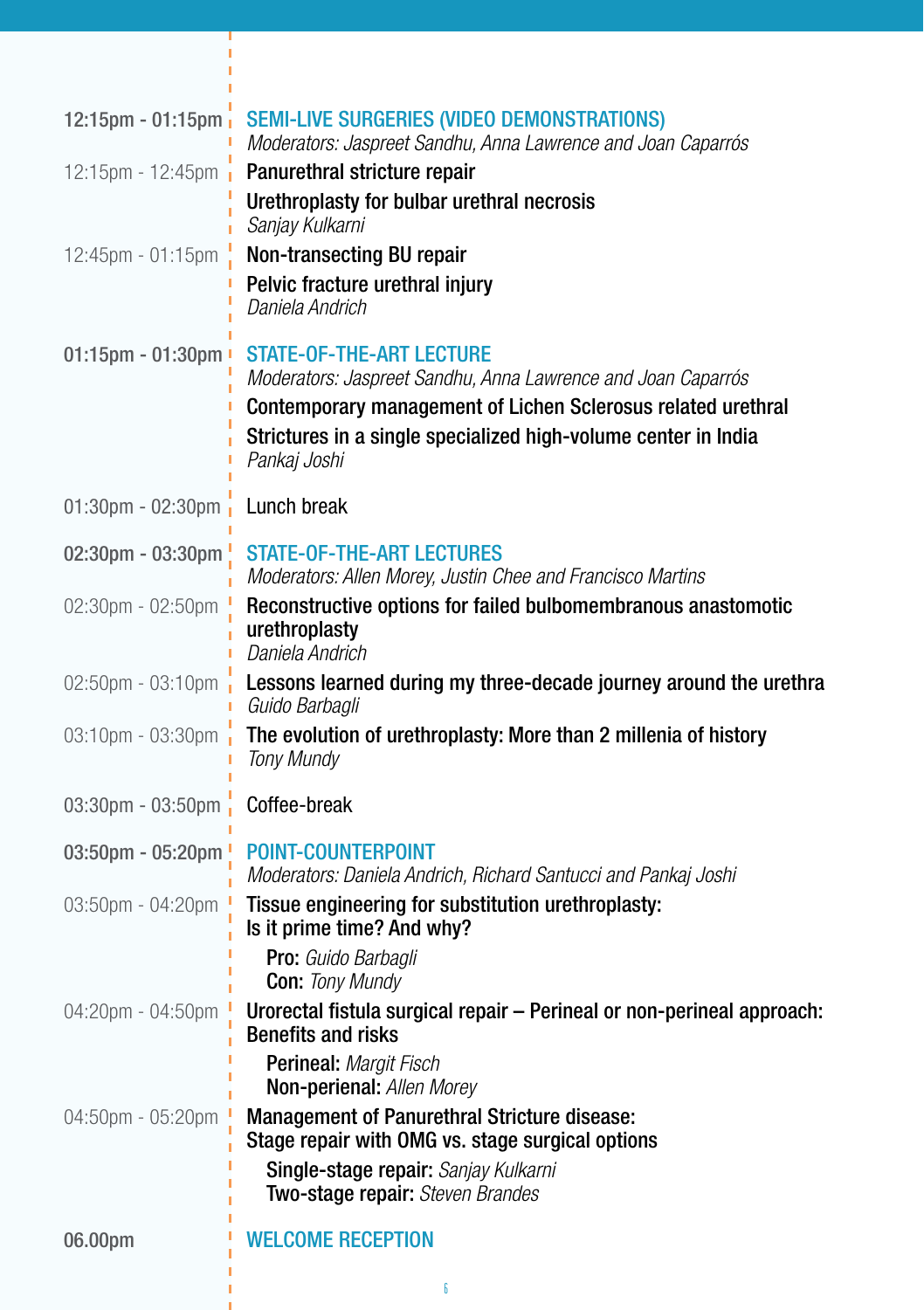| 12:15pm - 01:15pm               | <b>SEMI-LIVE SURGERIES (VIDEO DEMONSTRATIONS)</b><br>Moderators: Jaspreet Sandhu, Anna Lawrence and Joan Caparrós                                                                                                                                 |
|---------------------------------|---------------------------------------------------------------------------------------------------------------------------------------------------------------------------------------------------------------------------------------------------|
| 12:15pm - 12:45pm               | Panurethral stricture repair<br>Urethroplasty for bulbar urethral necrosis<br>Sanjay Kulkarni                                                                                                                                                     |
| 12:45pm - 01:15pm               | Non-transecting BU repair<br>Pelvic fracture urethral injury<br>Daniela Andrich                                                                                                                                                                   |
| 01:15pm - 01:30pm '             | <b>STATE-OF-THE-ART LECTURE</b><br>Moderators: Jaspreet Sandhu, Anna Lawrence and Joan Caparrós<br>Contemporary management of Lichen Sclerosus related urethral<br>Strictures in a single specialized high-volume center in India<br>Pankaj Joshi |
| $01:30$ pm - $02:30$ pm         | Lunch break                                                                                                                                                                                                                                       |
| 02:30pm - 03:30pm               | <b>STATE-OF-THE-ART LECTURES</b><br>Moderators: Allen Morey, Justin Chee and Francisco Martins                                                                                                                                                    |
| 02:30pm - 02:50pm               | Reconstructive options for failed bulbomembranous anastomotic<br>urethroplasty<br>Daniela Andrich                                                                                                                                                 |
| 02:50pm - 03:10pm               | Lessons learned during my three-decade journey around the urethra<br>Guido Barbagli                                                                                                                                                               |
| 03:10pm - 03:30pm               | The evolution of urethroplasty: More than 2 millenia of history<br><b>Tony Mundy</b>                                                                                                                                                              |
| 03:30pm - 03:50pm               | Coffee-break                                                                                                                                                                                                                                      |
| 03:50pm - 05:20pm $\frac{1}{2}$ | <b>POINT-COUNTERPOINT</b><br>Moderators: Daniela Andrich, Richard Santucci and Pankaj Joshi                                                                                                                                                       |
| 03:50pm - 04:20pm               | Tissue engineering for substitution urethroplasty:<br>Is it prime time? And why?<br>Pro: Guido Barbagli<br><b>Con: Tony Mundy</b>                                                                                                                 |
| 04:20pm - 04:50pm               | Urorectal fistula surgical repair - Perineal or non-perineal approach:<br><b>Benefits and risks</b><br>Perineal: Margit Fisch                                                                                                                     |
| 04:50pm - 05:20pm               | <b>Non-perienal:</b> Allen Morey<br><b>Management of Panurethral Stricture disease:</b><br>Stage repair with OMG vs. stage surgical options<br>Single-stage repair: Sanjay Kulkarni                                                               |
|                                 | Two-stage repair: Steven Brandes                                                                                                                                                                                                                  |
| 06.00pm                         | <b>WELCOME RECEPTION</b>                                                                                                                                                                                                                          |

6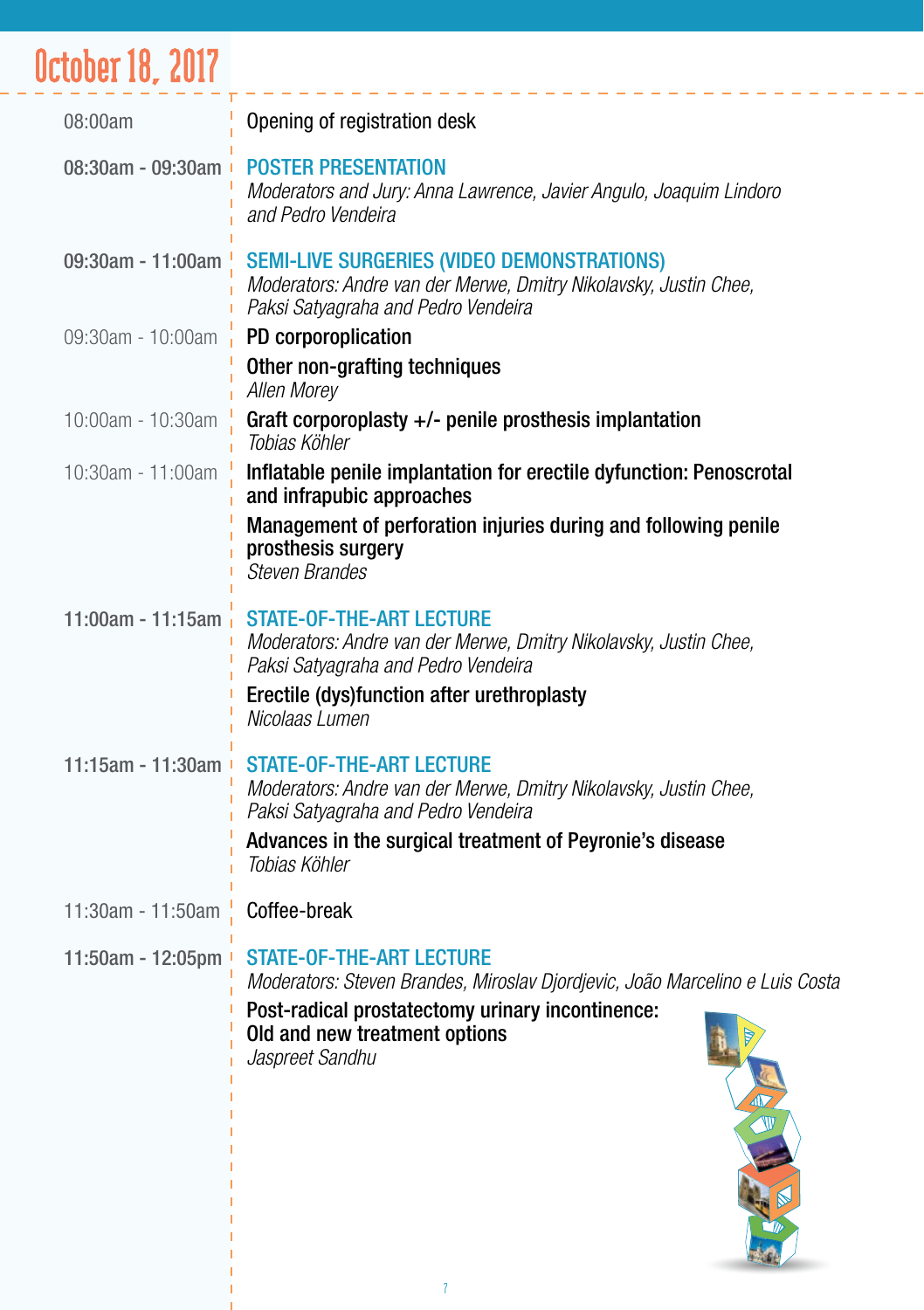## October 18, 2017

| 08:00am                       | Opening of registration desk                                                                                                                                                                                            |
|-------------------------------|-------------------------------------------------------------------------------------------------------------------------------------------------------------------------------------------------------------------------|
| 08:30am - 09:30am +           | <b>POSTER PRESENTATION</b><br>Moderators and Jury: Anna Lawrence, Javier Angulo, Joaquim Lindoro<br>and Pedro Vendeira                                                                                                  |
| 09:30am - 11:00am $^{\prime}$ | <b>SEMI-LIVE SURGERIES (VIDEO DEMONSTRATIONS)</b><br>Moderators: Andre van der Merwe, Dmitry Nikolavsky, Justin Chee,<br>Paksi Satyagraha and Pedro Vendeira                                                            |
| 09:30am - 10:00am $\cdot$     | PD corporoplication                                                                                                                                                                                                     |
|                               | Other non-grafting techniques<br>Allen Morey                                                                                                                                                                            |
| 10:00am - 10:30am             | Graft corporoplasty +/- penile prosthesis implantation<br>Tobias Köhler                                                                                                                                                 |
| 10:30am - 11:00am             | Inflatable penile implantation for erectile dyfunction: Penoscrotal<br>and infrapubic approaches                                                                                                                        |
|                               | Management of perforation injuries during and following penile<br>prosthesis surgery<br>Steven Brandes                                                                                                                  |
| 11:00am - 11:15am             | <b>STATE-OF-THE-ART LECTURE</b><br>Moderators: Andre van der Merwe, Dmitry Nikolavsky, Justin Chee,<br>Paksi Satyagraha and Pedro Vendeira<br>Erectile (dys)function after urethroplasty<br>Nicolaas Lumen              |
| 11:15am - 11:30am +           | <b>STATE-OF-THE-ART LECTURE</b><br>Moderators: Andre van der Merwe, Dmitry Nikolavsky, Justin Chee,<br>Paksi Satyagraha and Pedro Vendeira<br>Advances in the surgical treatment of Peyronie's disease<br>Tobias Köhler |
| 11:30am - 11:50am             | Coffee-break                                                                                                                                                                                                            |
| 11:50am - 12:05pm +           | <b>STATE-OF-THE-ART LECTURE</b><br>Moderators: Steven Brandes, Miroslav Djordjevic, João Marcelino e Luis Costa<br>Post-radical prostatectomy urinary incontinence:<br>Old and new treatment options<br>Jaspreet Sandhu |
|                               |                                                                                                                                                                                                                         |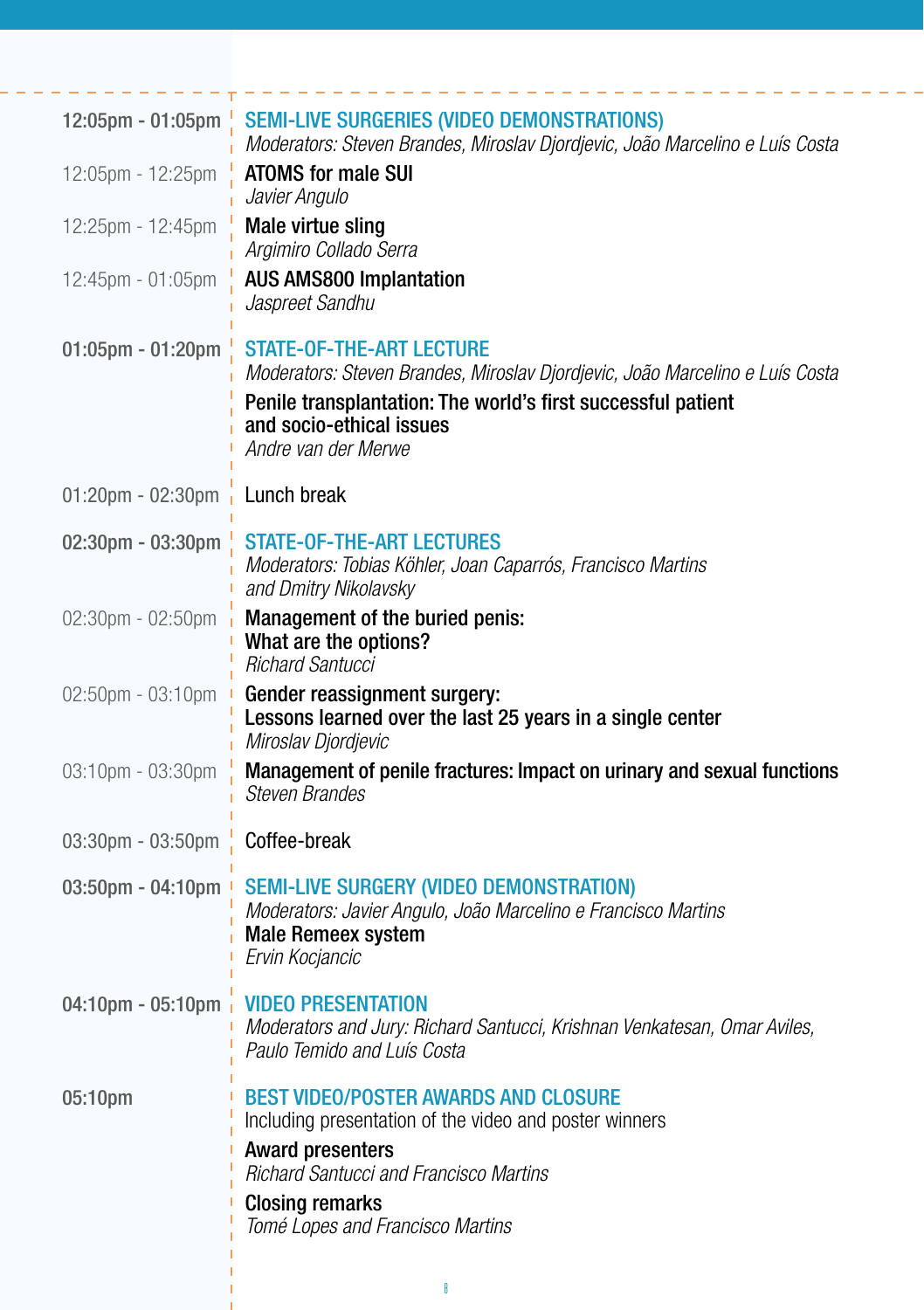| <b>SEMI-LIVE SURGERIES (VIDEO DEMONSTRATIONS)</b><br>12:05pm - 01:05pm<br>Moderators: Steven Brandes, Miroslav Djordjevic, João Marcelino e Luís Costa                                                                                          |
|-------------------------------------------------------------------------------------------------------------------------------------------------------------------------------------------------------------------------------------------------|
| <b>ATOMS for male SUI</b><br>Javier Angulo                                                                                                                                                                                                      |
| Male virtue sling<br>Argimiro Collado Serra                                                                                                                                                                                                     |
| <b>AUS AMS800 Implantation</b><br>Jaspreet Sandhu                                                                                                                                                                                               |
| <b>STATE-OF-THE-ART LECTURE</b><br>Moderators: Steven Brandes, Miroslav Djordjevic, João Marcelino e Luís Costa<br>Penile transplantation: The world's first successful patient<br>and socio-ethical issues<br>Andre van der Merwe              |
| Lunch break                                                                                                                                                                                                                                     |
| <b>STATE-OF-THE-ART LECTURES</b><br>Moderators: Tobias Köhler, Joan Caparrós, Francisco Martins<br>and Dmitry Nikolavsky                                                                                                                        |
| Management of the buried penis:<br>What are the options?<br><b>Richard Santucci</b>                                                                                                                                                             |
| Gender reassignment surgery:<br>Lessons learned over the last 25 years in a single center<br>Miroslav Djordjevic                                                                                                                                |
| Management of penile fractures: Impact on urinary and sexual functions<br><b>Steven Brandes</b>                                                                                                                                                 |
| Coffee-break                                                                                                                                                                                                                                    |
| <b>SEMI-LIVE SURGERY (VIDEO DEMONSTRATION)</b><br>Moderators: Javier Angulo, João Marcelino e Francisco Martins<br><b>Male Remeex system</b><br>Ervin Kocjancic                                                                                 |
| <b>VIDEO PRESENTATION</b><br>04:10pm - 05:10pm<br>Moderators and Jury: Richard Santucci, Krishnan Venkatesan, Omar Aviles,<br>Paulo Temido and Luís Costa                                                                                       |
| <b>BEST VIDEO/POSTER AWARDS AND CLOSURE</b><br>Including presentation of the video and poster winners<br><b>Award presenters</b><br><b>Richard Santucci and Francisco Martins</b><br><b>Closing remarks</b><br>Tomé Lopes and Francisco Martins |
|                                                                                                                                                                                                                                                 |

8